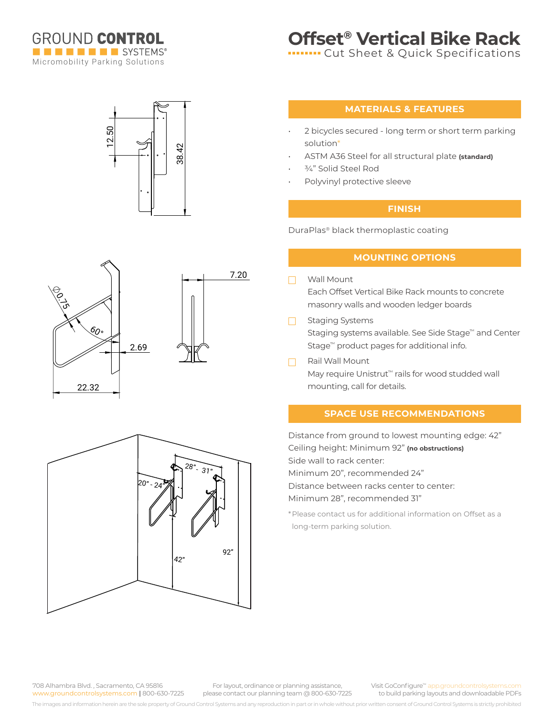

# **Offset® Vertical Bike Rack**

**Internal Cut Sheet & Quick Specifications** 

# 38.42 12.50





### **MATERIALS & FEATURES**

- 2 bicycles secured long term or short term parking solution\*
- ASTM A36 Steel for all structural plate **(standard)**
- 3/4" Solid Steel Rod
- Polyvinyl protective sleeve

## **FINISH**

DuraPlas® black thermoplastic coating

#### **MOUNTING OPTIONS**

- Wall Mount  $\Box$ Each Offset Vertical Bike Rack mounts to concrete masonry walls and wooden ledger boards
- Staging Systems  $\Box$ Staging systems available. See Side Stage™ and Center Stage™ product pages for additional info.
- Rail Wall Mount  $\Box$ May require Unistrut<sup>™</sup> rails for wood studded wall mounting, call for details.

#### **SPACE USE RECOMMENDATIONS**

Distance from ground to lowest mounting edge: 42" Ceiling height: Minimum 92" **(no obstructions)** Side wall to rack center: Minimum 20", recommended 24" Distance between racks center to center: Minimum 28", recommended 31"

\*Please contact us for additional information on Offset as a long-term parking solution.

708 Alhambra Blvd. , Sacramento, CA 95816 www.groundcontrolsystems.com **|** 800-630-7225

For layout, ordinance or planning assistance, please contact our planning team @ 800-630-7225 Visit GoConfigure™ app.groundcontrolsyste to build parking layouts and downloadable PDFs

The images and information herein are the sole property of Ground Control Systems and any reproduction in part or in whole without prior written consent of Ground Control Systems is strictly prohibited